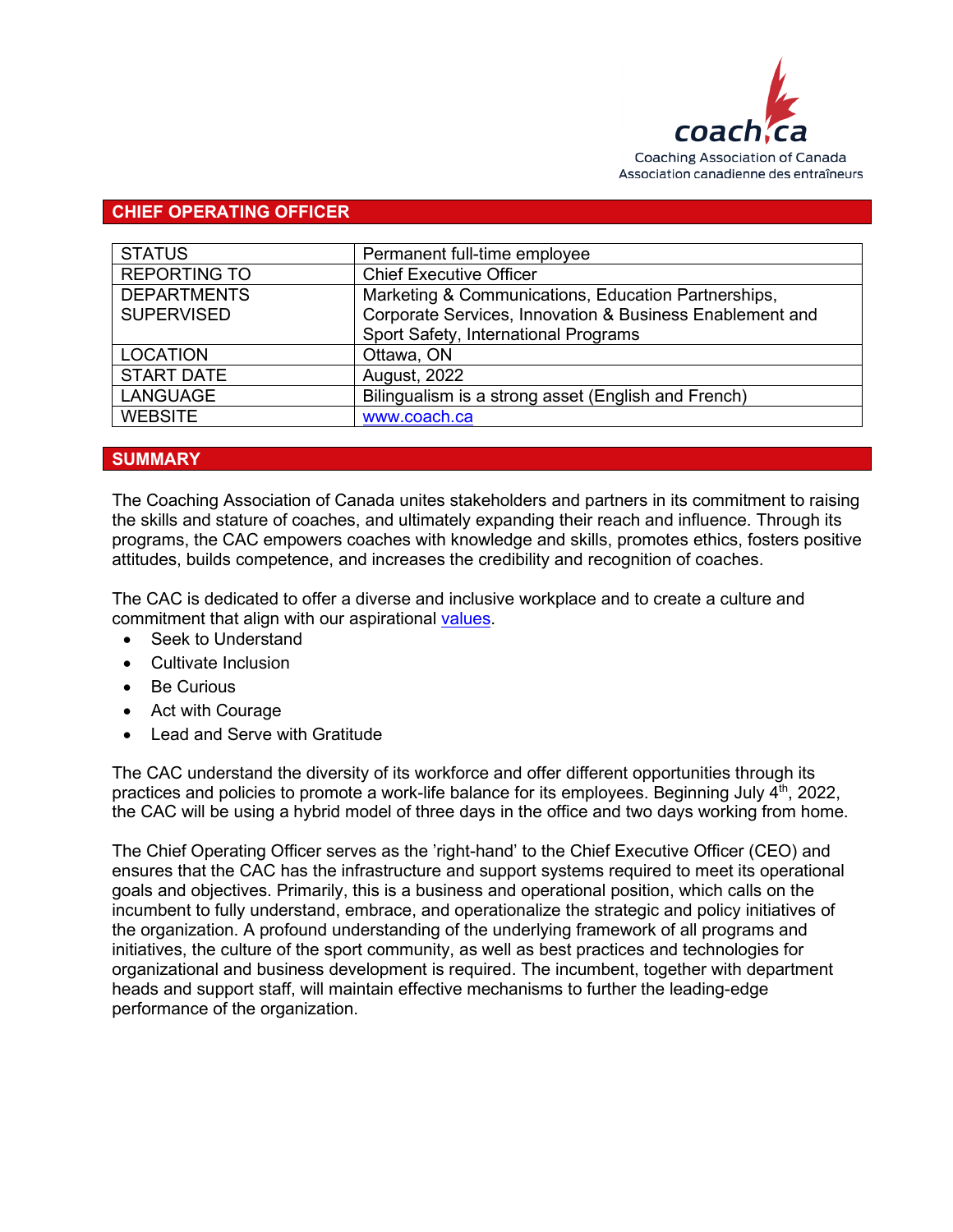

#### **CHIEF OPERATING OFFICER**

| <b>STATUS</b>       | Permanent full-time employee                             |
|---------------------|----------------------------------------------------------|
| <b>REPORTING TO</b> | <b>Chief Executive Officer</b>                           |
| <b>DEPARTMENTS</b>  | Marketing & Communications, Education Partnerships,      |
| <b>SUPERVISED</b>   | Corporate Services, Innovation & Business Enablement and |
|                     | Sport Safety, International Programs                     |
| <b>LOCATION</b>     | Ottawa, ON                                               |
| <b>START DATE</b>   | <b>August, 2022</b>                                      |
| <b>LANGUAGE</b>     | Bilingualism is a strong asset (English and French)      |
| <b>WEBSITE</b>      | www.coach.ca                                             |

#### **SUMMARY**

The Coaching Association of Canada unites stakeholders and partners in its commitment to raising the skills and stature of coaches, and ultimately expanding their reach and influence. Through its programs, the CAC empowers coaches with knowledge and skills, promotes ethics, fosters positive attitudes, builds competence, and increases the credibility and recognition of coaches.

The CAC is dedicated to offer a diverse and inclusive workplace and to create a culture and commitment that align with our aspirational [values.](https://coach.ca/cac-mission-vision-and-values)

- Seek to Understand
- Cultivate Inclusion
- Be Curious
- Act with Courage
- Lead and Serve with Gratitude

The CAC understand the diversity of its workforce and offer different opportunities through its practices and policies to promote a work-life balance for its employees. Beginning July  $4<sup>th</sup>$ , 2022, the CAC will be using a hybrid model of three days in the office and two days working from home.

The Chief Operating Officer serves as the 'right-hand' to the Chief Executive Officer (CEO) and ensures that the CAC has the infrastructure and support systems required to meet its operational goals and objectives. Primarily, this is a business and operational position, which calls on the incumbent to fully understand, embrace, and operationalize the strategic and policy initiatives of the organization. A profound understanding of the underlying framework of all programs and initiatives, the culture of the sport community, as well as best practices and technologies for organizational and business development is required. The incumbent, together with department heads and support staff, will maintain effective mechanisms to further the leading-edge performance of the organization.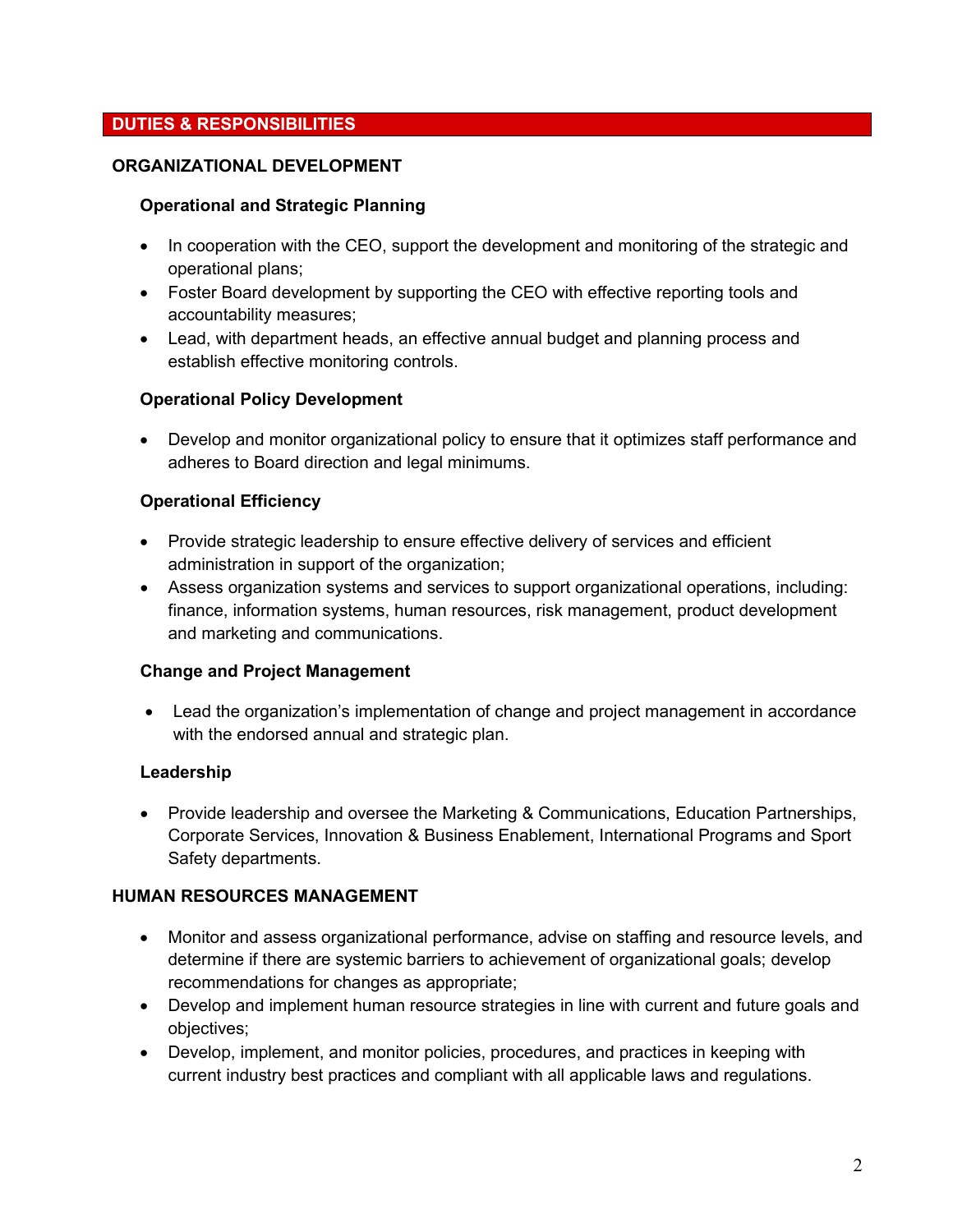# **DUTIES & RESPONSIBILITIES**

### **ORGANIZATIONAL DEVELOPMENT**

#### **Operational and Strategic Planning**

- In cooperation with the CEO, support the development and monitoring of the strategic and operational plans;
- Foster Board development by supporting the CEO with effective reporting tools and accountability measures;
- Lead, with department heads, an effective annual budget and planning process and establish effective monitoring controls.

#### **Operational Policy Development**

• Develop and monitor organizational policy to ensure that it optimizes staff performance and adheres to Board direction and legal minimums.

### **Operational Efficiency**

- Provide strategic leadership to ensure effective delivery of services and efficient administration in support of the organization;
- Assess organization systems and services to support organizational operations, including: finance, information systems, human resources, risk management, product development and marketing and communications.

#### **Change and Project Management**

• Lead the organization's implementation of change and project management in accordance with the endorsed annual and strategic plan.

#### **Leadership**

• Provide leadership and oversee the Marketing & Communications, Education Partnerships, Corporate Services, Innovation & Business Enablement, International Programs and Sport Safety departments.

#### **HUMAN RESOURCES MANAGEMENT**

- Monitor and assess organizational performance, advise on staffing and resource levels, and determine if there are systemic barriers to achievement of organizational goals; develop recommendations for changes as appropriate;
- Develop and implement human resource strategies in line with current and future goals and objectives;
- Develop, implement, and monitor policies, procedures, and practices in keeping with current industry best practices and compliant with all applicable laws and regulations.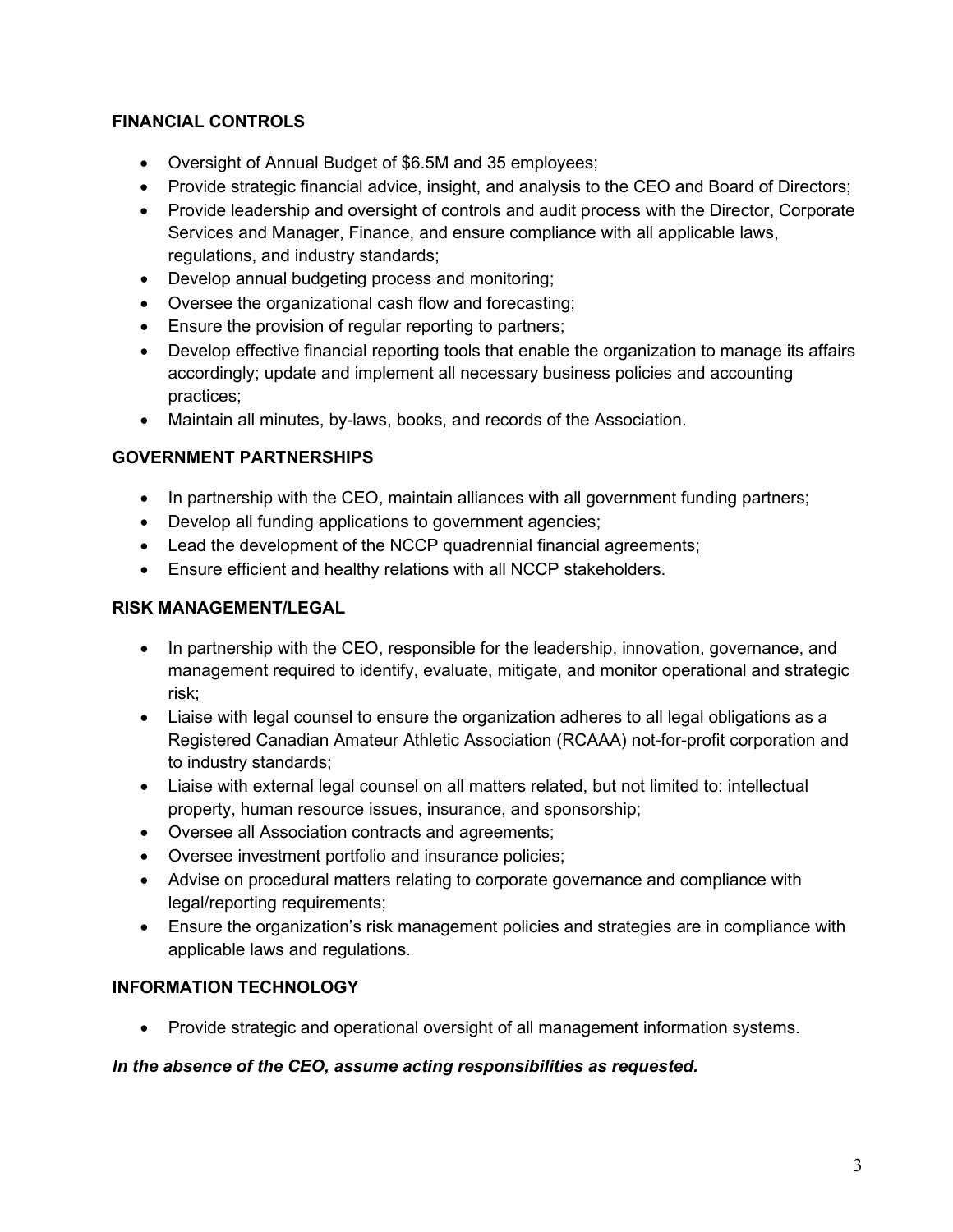# **FINANCIAL CONTROLS**

- Oversight of Annual Budget of \$6.5M and 35 employees;
- Provide strategic financial advice, insight, and analysis to the CEO and Board of Directors;
- Provide leadership and oversight of controls and audit process with the Director, Corporate Services and Manager, Finance, and ensure compliance with all applicable laws, regulations, and industry standards;
- Develop annual budgeting process and monitoring;
- Oversee the organizational cash flow and forecasting;
- Ensure the provision of regular reporting to partners;
- Develop effective financial reporting tools that enable the organization to manage its affairs accordingly; update and implement all necessary business policies and accounting practices;
- Maintain all minutes, by-laws, books, and records of the Association.

# **GOVERNMENT PARTNERSHIPS**

- In partnership with the CEO, maintain alliances with all government funding partners;
- Develop all funding applications to government agencies;
- Lead the development of the NCCP quadrennial financial agreements;
- Ensure efficient and healthy relations with all NCCP stakeholders.

# **RISK MANAGEMENT/LEGAL**

- In partnership with the CEO, responsible for the leadership, innovation, governance, and management required to identify, evaluate, mitigate, and monitor operational and strategic risk;
- Liaise with legal counsel to ensure the organization adheres to all legal obligations as a Registered Canadian Amateur Athletic Association (RCAAA) not-for-profit corporation and to industry standards;
- Liaise with external legal counsel on all matters related, but not limited to: intellectual property, human resource issues, insurance, and sponsorship;
- Oversee all Association contracts and agreements;
- Oversee investment portfolio and insurance policies;
- Advise on procedural matters relating to corporate governance and compliance with legal/reporting requirements;
- Ensure the organization's risk management policies and strategies are in compliance with applicable laws and regulations.

# **INFORMATION TECHNOLOGY**

• Provide strategic and operational oversight of all management information systems.

# *In the absence of the CEO, assume acting responsibilities as requested.*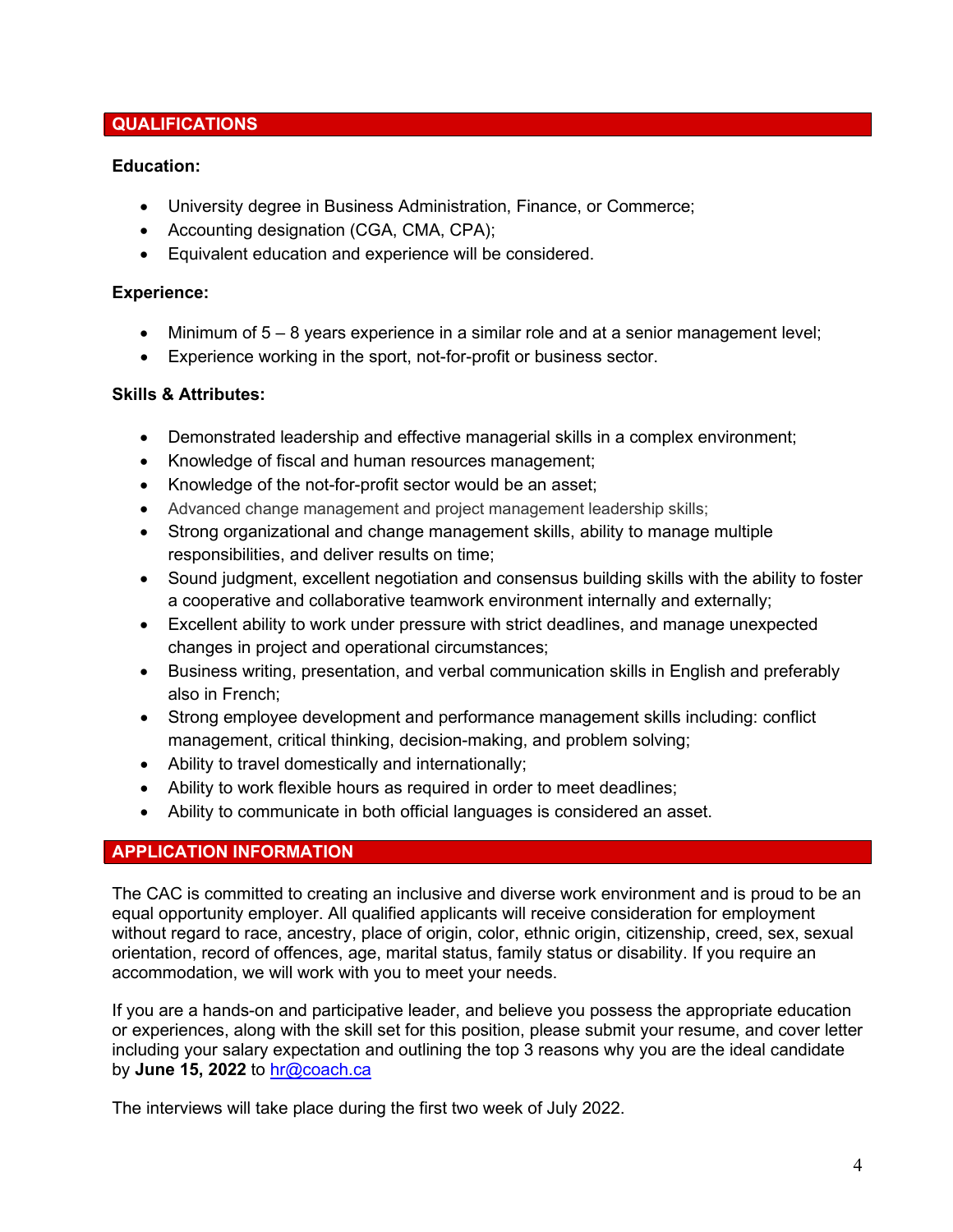## **QUALIFICATIONS**

### **Education:**

- University degree in Business Administration, Finance, or Commerce;
- Accounting designation (CGA, CMA, CPA);
- Equivalent education and experience will be considered.

### **Experience:**

- Minimum of 5 8 years experience in a similar role and at a senior management level;
- Experience working in the sport, not-for-profit or business sector.

### **Skills & Attributes:**

- Demonstrated leadership and effective managerial skills in a complex environment;
- Knowledge of fiscal and human resources management;
- Knowledge of the not-for-profit sector would be an asset;
- Advanced change management and project management leadership skills;
- Strong organizational and change management skills, ability to manage multiple responsibilities, and deliver results on time;
- Sound judgment, excellent negotiation and consensus building skills with the ability to foster a cooperative and collaborative teamwork environment internally and externally;
- Excellent ability to work under pressure with strict deadlines, and manage unexpected changes in project and operational circumstances;
- Business writing, presentation, and verbal communication skills in English and preferably also in French;
- Strong employee development and performance management skills including: conflict management, critical thinking, decision-making, and problem solving;
- Ability to travel domestically and internationally;
- Ability to work flexible hours as required in order to meet deadlines;
- Ability to communicate in both official languages is considered an asset.

# **APPLICATION INFORMATION**

The CAC is committed to creating an inclusive and diverse work environment and is proud to be an equal opportunity employer. All qualified applicants will receive consideration for employment without regard to race, ancestry, place of origin, color, ethnic origin, citizenship, creed, sex, sexual orientation, record of offences, age, marital status, family status or disability. If you require an accommodation, we will work with you to meet your needs.

If you are a hands-on and participative leader, and believe you possess the appropriate education or experiences, along with the skill set for this position, please submit your resume, and cover letter including your salary expectation and outlining the top 3 reasons why you are the ideal candidate by **June 15, 2022** to [hr@coach.ca](mailto:hr@coach.ca) 

The interviews will take place during the first two week of July 2022.